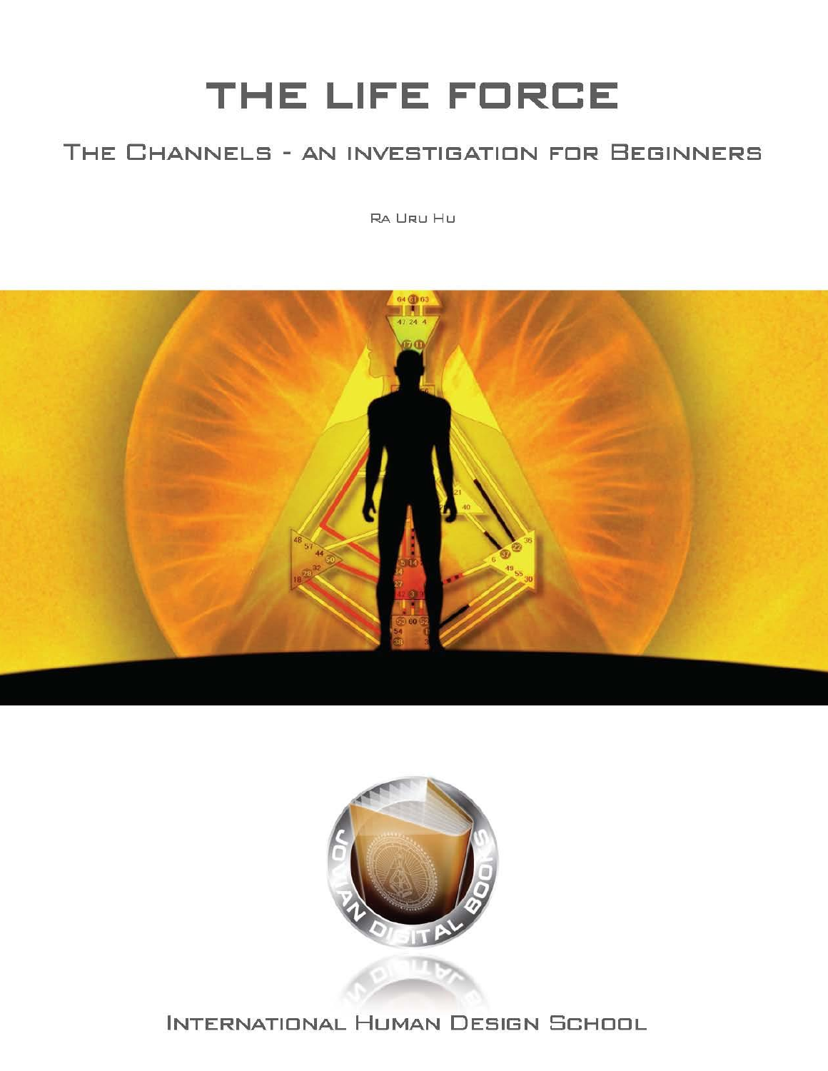# THE LIFE FORCE

### THE CHANNELS - AN INVESTIGATION FOR BEGINNERS

RA URU HU





INTERNATIONAL HUMAN DESIGN SCHOOL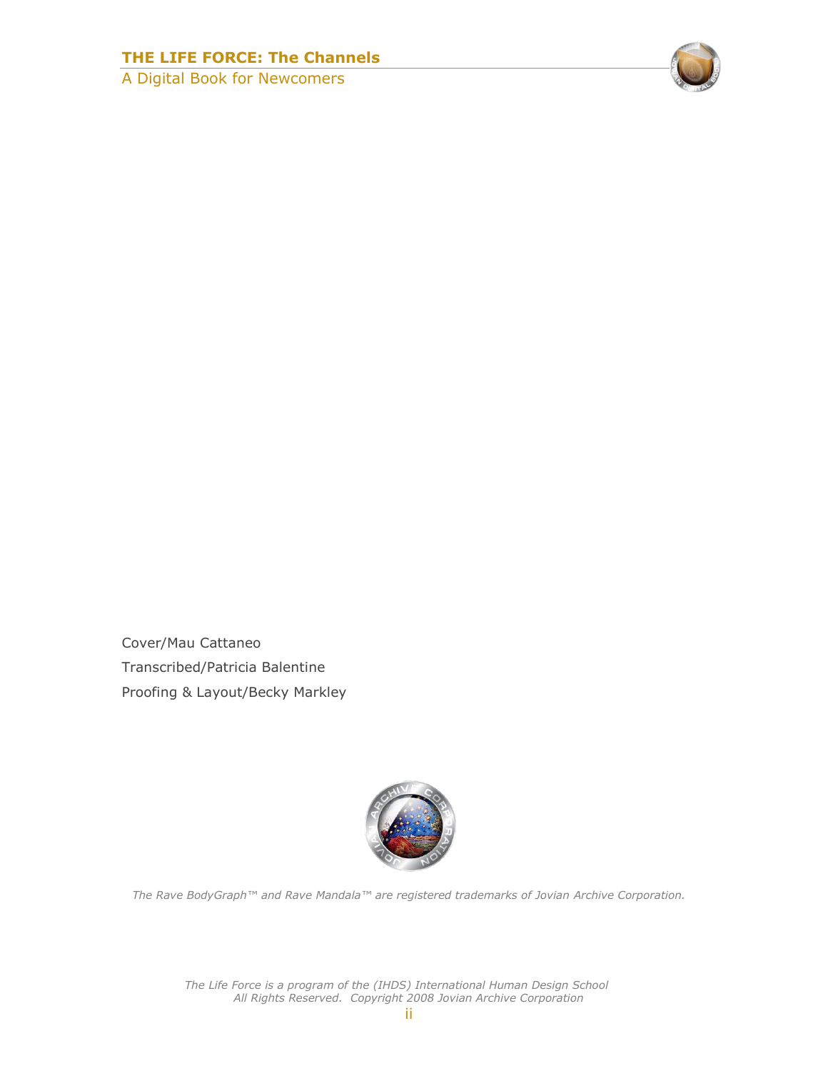#### **THE LIFE FORCE: The Channels**

A Digital Book for Newcomers



Cover/Mau Cattaneo Transcribed/Patricia Balentine Proofing & Layout/Becky Markley



*The Rave BodyGraph™ and Rave Mandala™ are registered trademarks of Jovian Archive Corporation.*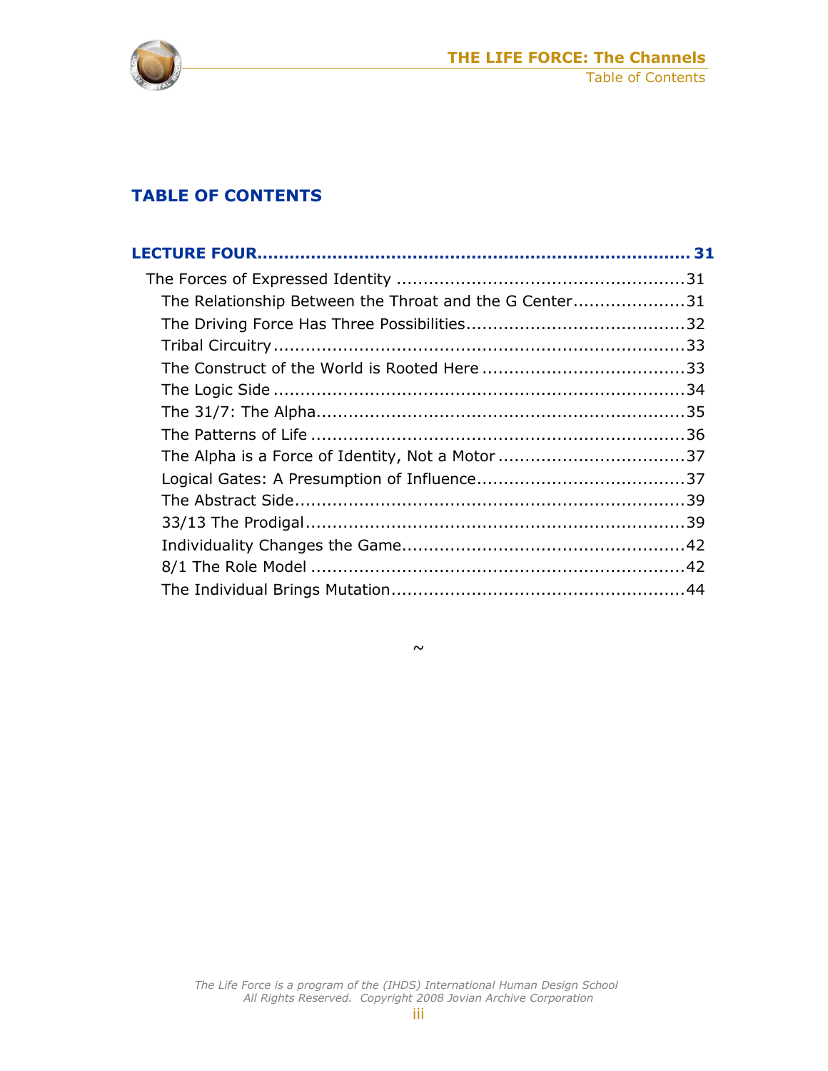

#### **TABLE OF CONTENTS**

| The Relationship Between the Throat and the G Center31 |  |
|--------------------------------------------------------|--|
|                                                        |  |
|                                                        |  |
|                                                        |  |
|                                                        |  |
|                                                        |  |
|                                                        |  |
|                                                        |  |
|                                                        |  |
|                                                        |  |
|                                                        |  |
|                                                        |  |
|                                                        |  |
|                                                        |  |

 $\sim$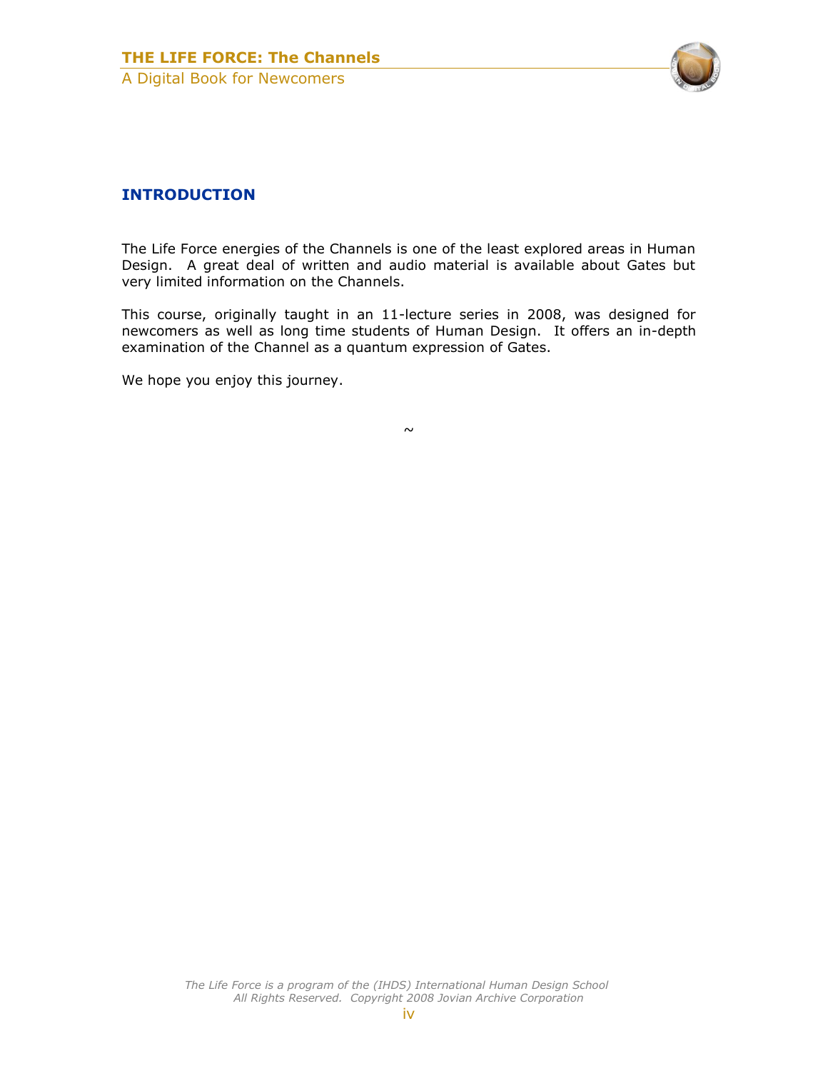

#### **INTRODUCTION**

The Life Force energies of the Channels is one of the least explored areas in Human Design. A great deal of written and audio material is available about Gates but very limited information on the Channels.

This course, originally taught in an 11-lecture series in 2008, was designed for newcomers as well as long time students of Human Design. It offers an in-depth examination of the Channel as a quantum expression of Gates.

We hope you enjoy this journey.

 $\sim$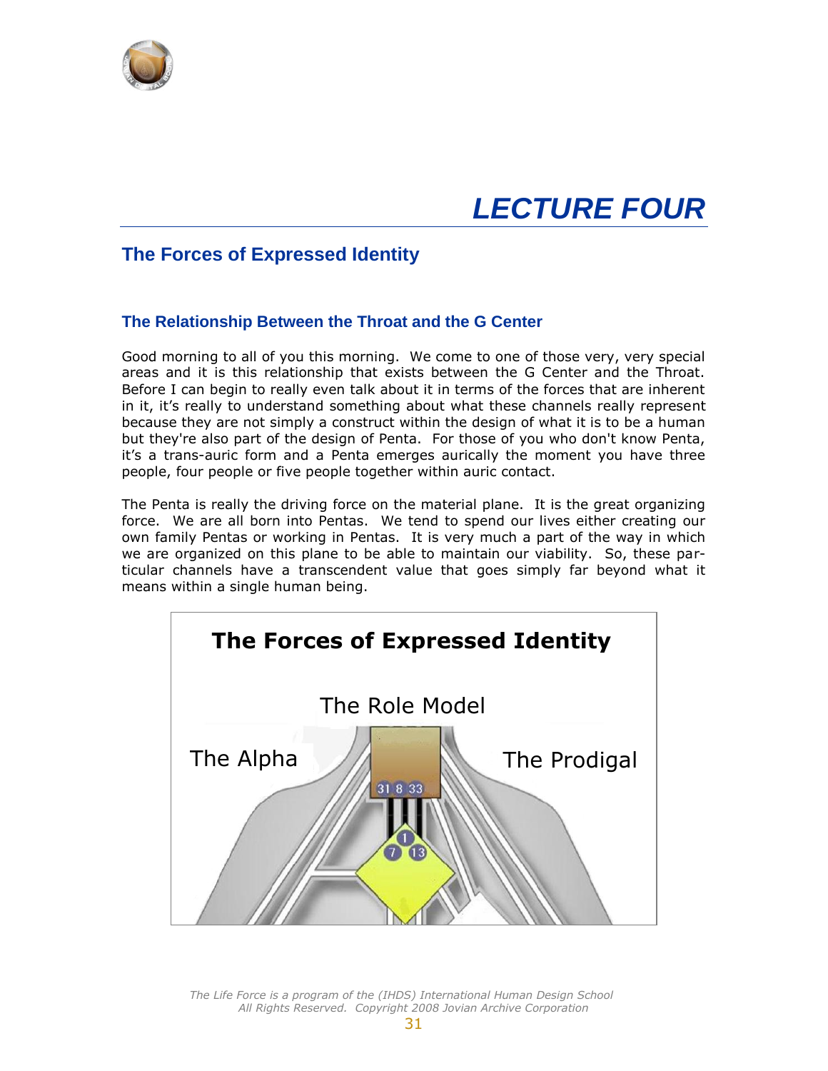<span id="page-4-0"></span>

## *LECTURE FOUR*

#### <span id="page-4-1"></span>**The Forces of Expressed Identity**

#### <span id="page-4-2"></span>**The Relationship Between the Throat and the G Center**

Good morning to all of you this morning. We come to one of those very, very special areas and it is this relationship that exists between the G Center and the Throat. Before I can begin to really even talk about it in terms of the forces that are inherent in it, it's really to understand something about what these channels really represent because they are not simply a construct within the design of what it is to be a human but they're also part of the design of Penta. For those of you who don't know Penta, it's a trans-auric form and a Penta emerges aurically the moment you have three people, four people or five people together within auric contact.

The Penta is really the driving force on the material plane. It is the great organizing force. We are all born into Pentas. We tend to spend our lives either creating our own family Pentas or working in Pentas. It is very much a part of the way in which we are organized on this plane to be able to maintain our viability. So, these particular channels have a transcendent value that goes simply far beyond what it means within a single human being.

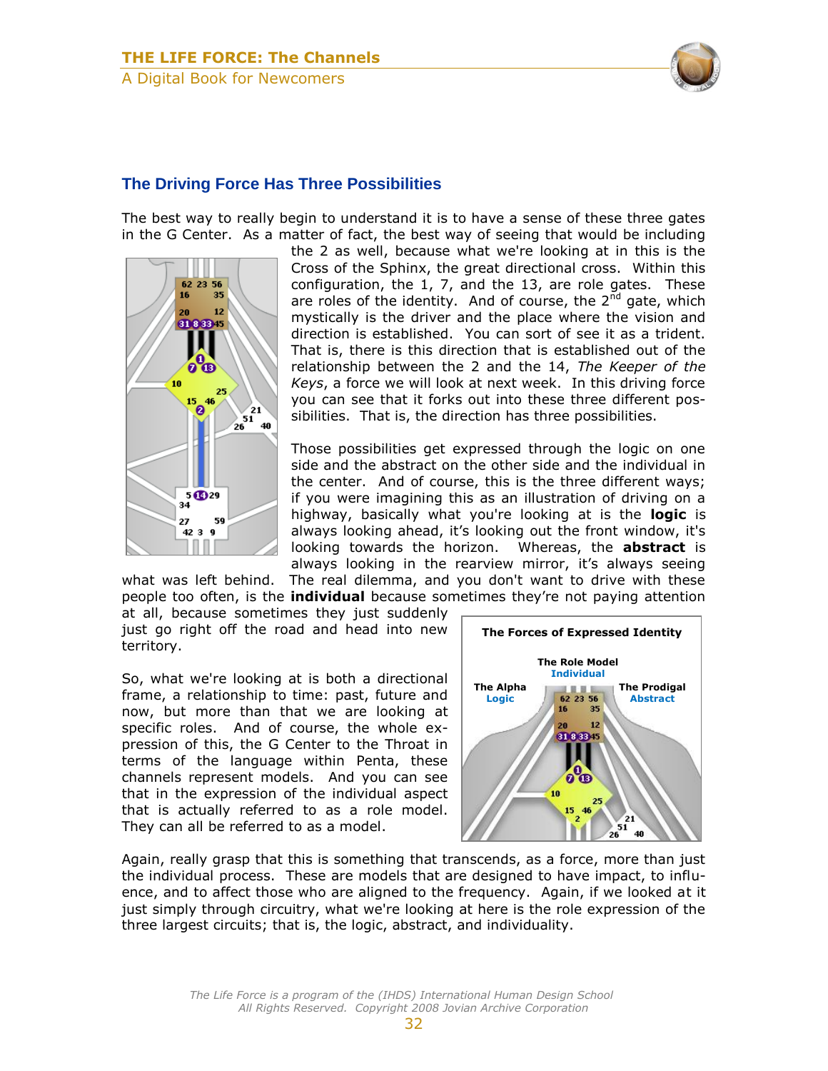

#### <span id="page-5-0"></span>**The Driving Force Has Three Possibilities**

The best way to really begin to understand it is to have a sense of these three gates in the G Center. As a matter of fact, the best way of seeing that would be including



the 2 as well, because what we're looking at in this is the Cross of the Sphinx, the great directional cross. Within this configuration, the 1, 7, and the 13, are role gates. These are roles of the identity. And of course, the  $2^{nd}$  gate, which mystically is the driver and the place where the vision and direction is established. You can sort of see it as a trident. That is, there is this direction that is established out of the relationship between the 2 and the 14, *The Keeper of the Keys*, a force we will look at next week. In this driving force you can see that it forks out into these three different possibilities. That is, the direction has three possibilities.

Those possibilities get expressed through the logic on one side and the abstract on the other side and the individual in the center. And of course, this is the three different ways; if you were imagining this as an illustration of driving on a highway, basically what you're looking at is the **logic** is always looking ahead, it's looking out the front window, it's looking towards the horizon. Whereas, the **abstract** is always looking in the rearview mirror, it's always seeing

what was left behind. The real dilemma, and you don't want to drive with these people too often, is the **individual** because sometimes they're not paying attention

at all, because sometimes they just suddenly just go right off the road and head into new territory.

So, what we're looking at is both a directional frame, a relationship to time: past, future and now, but more than that we are looking at specific roles. And of course, the whole expression of this, the G Center to the Throat in terms of the language within Penta, these channels represent models. And you can see that in the expression of the individual aspect that is actually referred to as a role model. They can all be referred to as a model.



Again, really grasp that this is something that transcends, as a force, more than just the individual process. These are models that are designed to have impact, to influence, and to affect those who are aligned to the frequency. Again, if we looked at it just simply through circuitry, what we're looking at here is the role expression of the three largest circuits; that is, the logic, abstract, and individuality.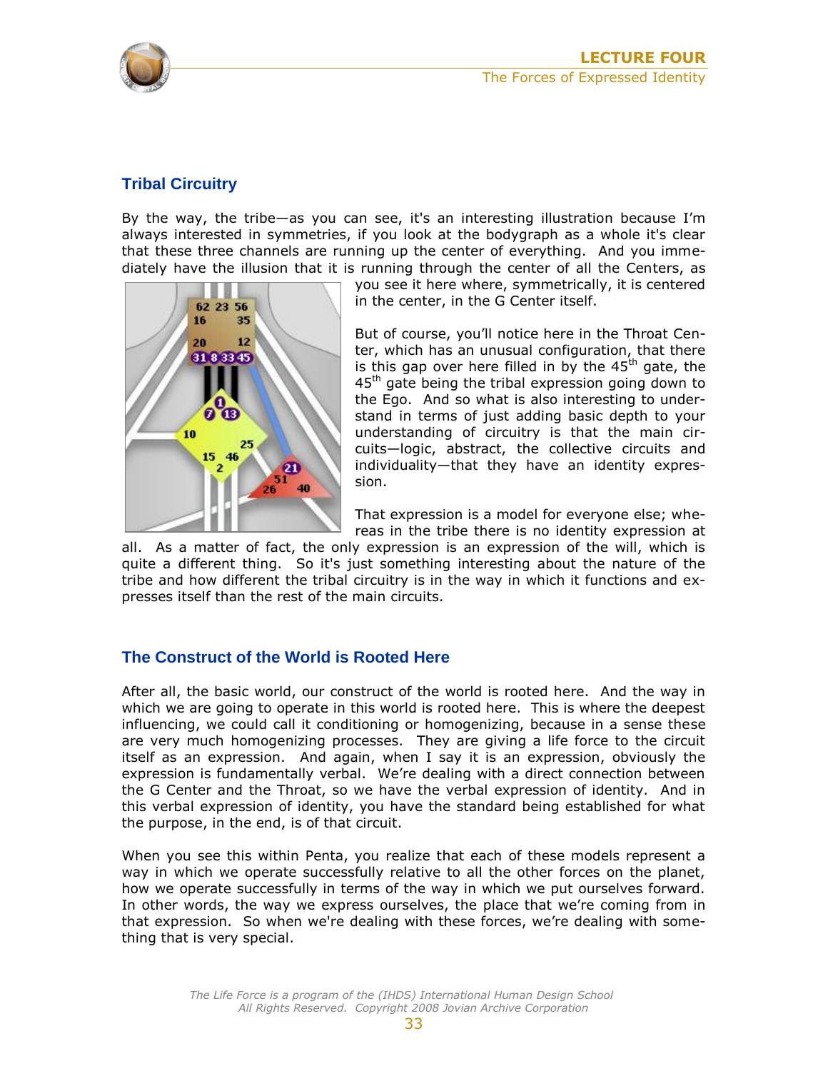

#### <span id="page-6-0"></span>**Tribal Circuitry**

By the way, the tribe—as you can see, it's an interesting illustration because I'm always interested in symmetries, if you look at the bodygraph as a whole it's clear that these three channels are running up the center of everything. And you immediately have the illusion that it is running through the center of all the Centers, as



you see it here where, symmetrically, it is centered in the center, in the G Center itself.

But of course, you'll notice here in the Throat Center, which has an unusual configuration, that there is this gap over here filled in by the  $45<sup>th</sup>$  gate, the  $45<sup>th</sup>$  gate being the tribal expression going down to the Ego. And so what is also interesting to understand in terms of just adding basic depth to your understanding of circuitry is that the main circuits—logic, abstract, the collective circuits and individuality—that they have an identity expression.

That expression is a model for everyone else; whereas in the tribe there is no identity expression at

all. As a matter of fact, the only expression is an expression of the will, which is quite a different thing. So it's just something interesting about the nature of the tribe and how different the tribal circuitry is in the way in which it functions and expresses itself than the rest of the main circuits.

#### <span id="page-6-1"></span>**The Construct of the World is Rooted Here**

After all, the basic world, our construct of the world is rooted here. And the way in which we are going to operate in this world is rooted here. This is where the deepest influencing, we could call it conditioning or homogenizing, because in a sense these are very much homogenizing processes. They are giving a life force to the circuit itself as an expression. And again, when I say it is an expression, obviously the expression is fundamentally verbal. We're dealing with a direct connection between the G Center and the Throat, so we have the verbal expression of identity. And in this verbal expression of identity, you have the standard being established for what the purpose, in the end, is of that circuit.

When you see this within Penta, you realize that each of these models represent a way in which we operate successfully relative to all the other forces on the planet, how we operate successfully in terms of the way in which we put ourselves forward. In other words, the way we express ourselves, the place that we're coming from in that expression. So when we're dealing with these forces, we're dealing with something that is very special.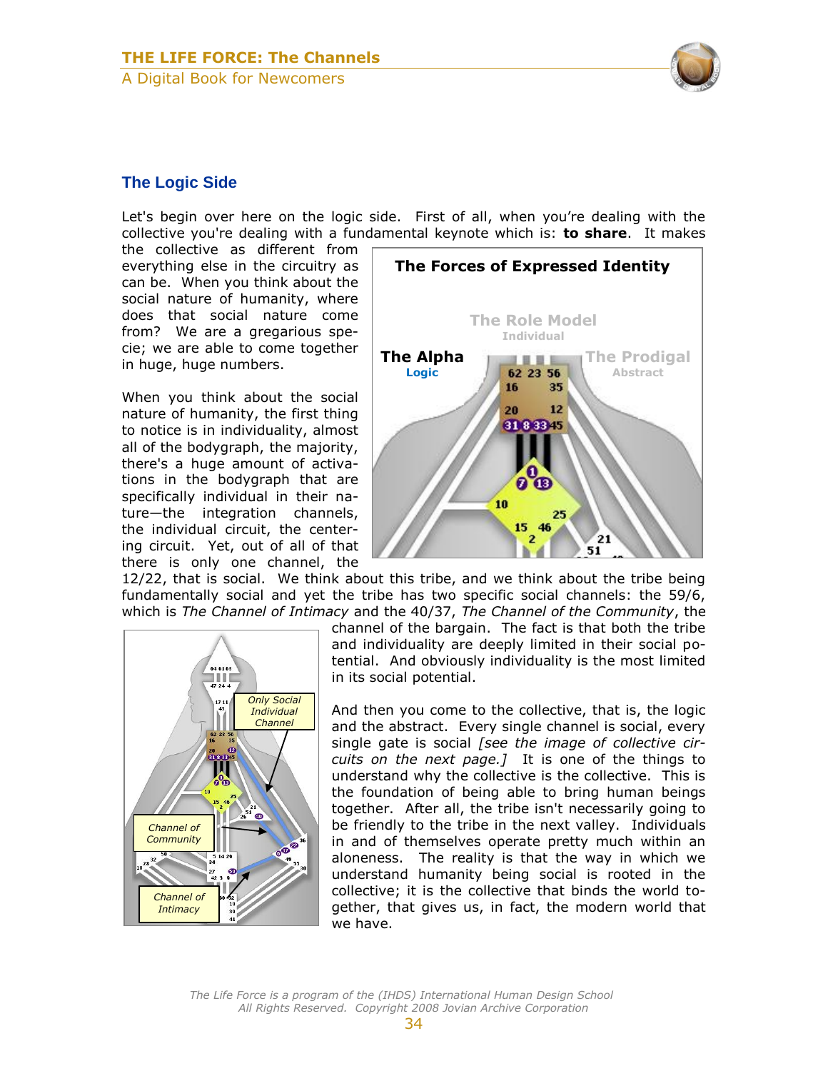

#### <span id="page-7-0"></span>**The Logic Side**

Let's begin over here on the logic side. First of all, when you're dealing with the collective you're dealing with a fundamental keynote which is: **to share**. It makes

the collective as different from everything else in the circuitry as can be. When you think about the social nature of humanity, where does that social nature come from? We are a gregarious specie; we are able to come together in huge, huge numbers.

When you think about the social nature of humanity, the first thing to notice is in individuality, almost all of the bodygraph, the majority, there's a huge amount of activations in the bodygraph that are specifically individual in their nature—the integration channels, the individual circuit, the centering circuit. Yet, out of all of that there is only one channel, the



12/22, that is social. We think about this tribe, and we think about the tribe being fundamentally social and yet the tribe has two specific social channels: the 59/6, which is *The Channel of Intimacy* and the 40/37, *The Channel of the Community*, the



channel of the bargain. The fact is that both the tribe and individuality are deeply limited in their social potential. And obviously individuality is the most limited in its social potential.

And then you come to the collective, that is, the logic and the abstract. Every single channel is social, every single gate is social *[see the image of collective circuits on the next page.]* It is one of the things to understand why the collective is the collective. This is the foundation of being able to bring human beings together. After all, the tribe isn't necessarily going to be friendly to the tribe in the next valley. Individuals in and of themselves operate pretty much within an aloneness. The reality is that the way in which we understand humanity being social is rooted in the collective; it is the collective that binds the world together, that gives us, in fact, the modern world that we have.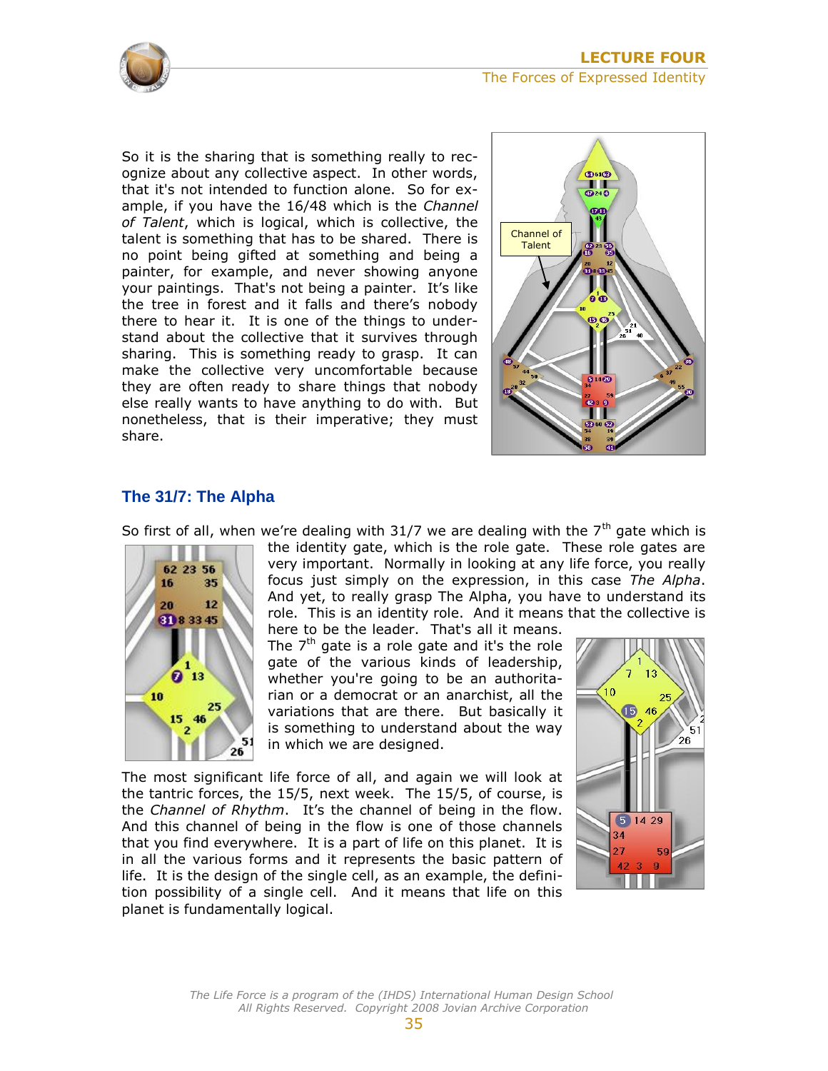

So it is the sharing that is something really to recognize about any collective aspect. In other words, that it's not intended to function alone. So for example, if you have the 16/48 which is the *Channel of Talent*, which is logical, which is collective, the talent is something that has to be shared. There is no point being gifted at something and being a painter, for example, and never showing anyone your paintings. That's not being a painter. It's like the tree in forest and it falls and there's nobody there to hear it. It is one of the things to understand about the collective that it survives through sharing. This is something ready to grasp. It can make the collective very uncomfortable because they are often ready to share things that nobody else really wants to have anything to do with. But nonetheless, that is their imperative; they must share.



#### <span id="page-8-0"></span>**The 31/7: The Alpha**



So first of all, when we're dealing with 31/7 we are dealing with the  $7<sup>th</sup>$  gate which is the identity gate, which is the role gate. These role gates are very important. Normally in looking at any life force, you really focus just simply on the expression, in this case *The Alpha*. And yet, to really grasp The Alpha, you have to understand its role. This is an identity role. And it means that the collective is

here to be the leader. That's all it means. The  $7<sup>th</sup>$  gate is a role gate and it's the role gate of the various kinds of leadership, whether you're going to be an authoritarian or a democrat or an anarchist, all the variations that are there. But basically it is something to understand about the way in which we are designed.

The most significant life force of all, and again we will look at the tantric forces, the 15/5, next week. The 15/5, of course, is the *Channel of Rhythm*. It's the channel of being in the flow. And this channel of being in the flow is one of those channels that you find everywhere. It is a part of life on this planet. It is in all the various forms and it represents the basic pattern of life. It is the design of the single cell, as an example, the definition possibility of a single cell. And it means that life on this planet is fundamentally logical.

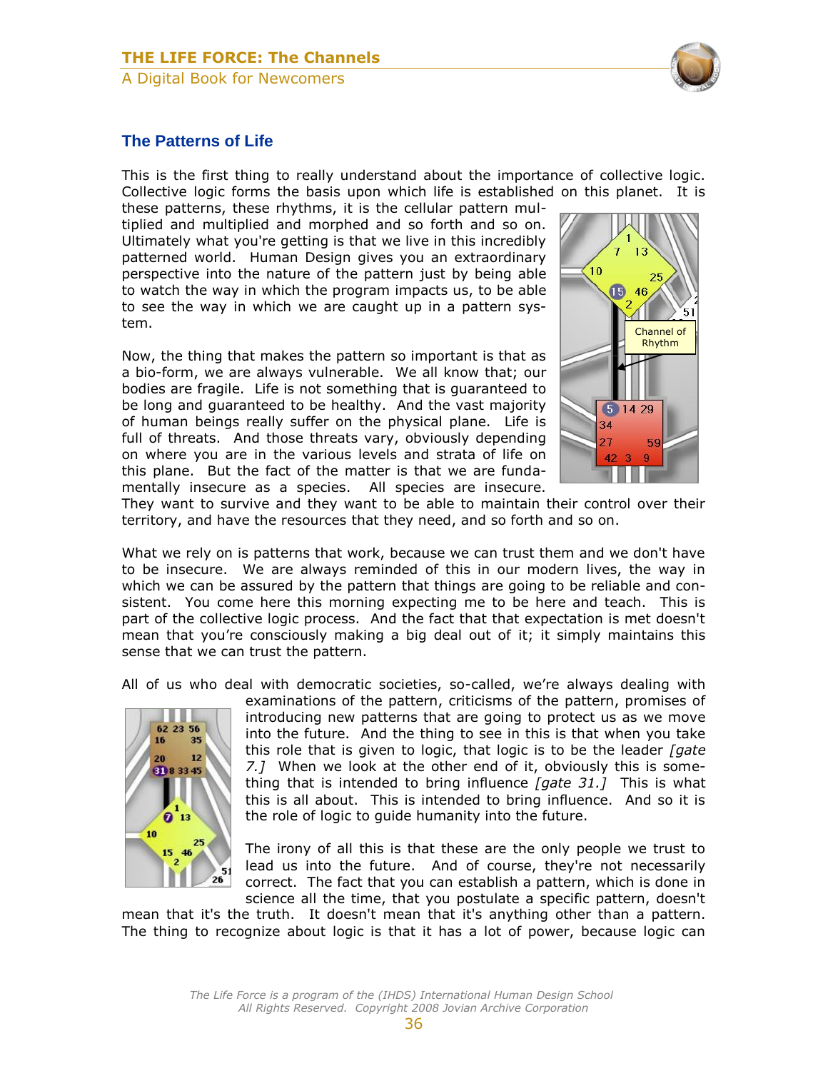

#### <span id="page-9-0"></span>**The Patterns of Life**

This is the first thing to really understand about the importance of collective logic. Collective logic forms the basis upon which life is established on this planet. It is

these patterns, these rhythms, it is the cellular pattern multiplied and multiplied and morphed and so forth and so on. Ultimately what you're getting is that we live in this incredibly patterned world. Human Design gives you an extraordinary perspective into the nature of the pattern just by being able to watch the way in which the program impacts us, to be able to see the way in which we are caught up in a pattern system.

Now, the thing that makes the pattern so important is that as a bio-form, we are always vulnerable. We all know that; our bodies are fragile. Life is not something that is guaranteed to be long and guaranteed to be healthy. And the vast majority of human beings really suffer on the physical plane. Life is full of threats. And those threats vary, obviously depending on where you are in the various levels and strata of life on this plane. But the fact of the matter is that we are fundamentally insecure as a species. All species are insecure.



They want to survive and they want to be able to maintain their control over their territory, and have the resources that they need, and so forth and so on.

What we rely on is patterns that work, because we can trust them and we don't have to be insecure. We are always reminded of this in our modern lives, the way in which we can be assured by the pattern that things are going to be reliable and consistent. You come here this morning expecting me to be here and teach. This is part of the collective logic process. And the fact that that expectation is met doesn't mean that you're consciously making a big deal out of it; it simply maintains this sense that we can trust the pattern.

All of us who deal with democratic societies, so-called, we're always dealing with



examinations of the pattern, criticisms of the pattern, promises of introducing new patterns that are going to protect us as we move into the future. And the thing to see in this is that when you take this role that is given to logic, that logic is to be the leader *[gate 7.]* When we look at the other end of it, obviously this is something that is intended to bring influence *[gate 31.]* This is what this is all about. This is intended to bring influence. And so it is the role of logic to guide humanity into the future.

The irony of all this is that these are the only people we trust to lead us into the future. And of course, they're not necessarily correct. The fact that you can establish a pattern, which is done in science all the time, that you postulate a specific pattern, doesn't

mean that it's the truth. It doesn't mean that it's anything other than a pattern. The thing to recognize about logic is that it has a lot of power, because logic can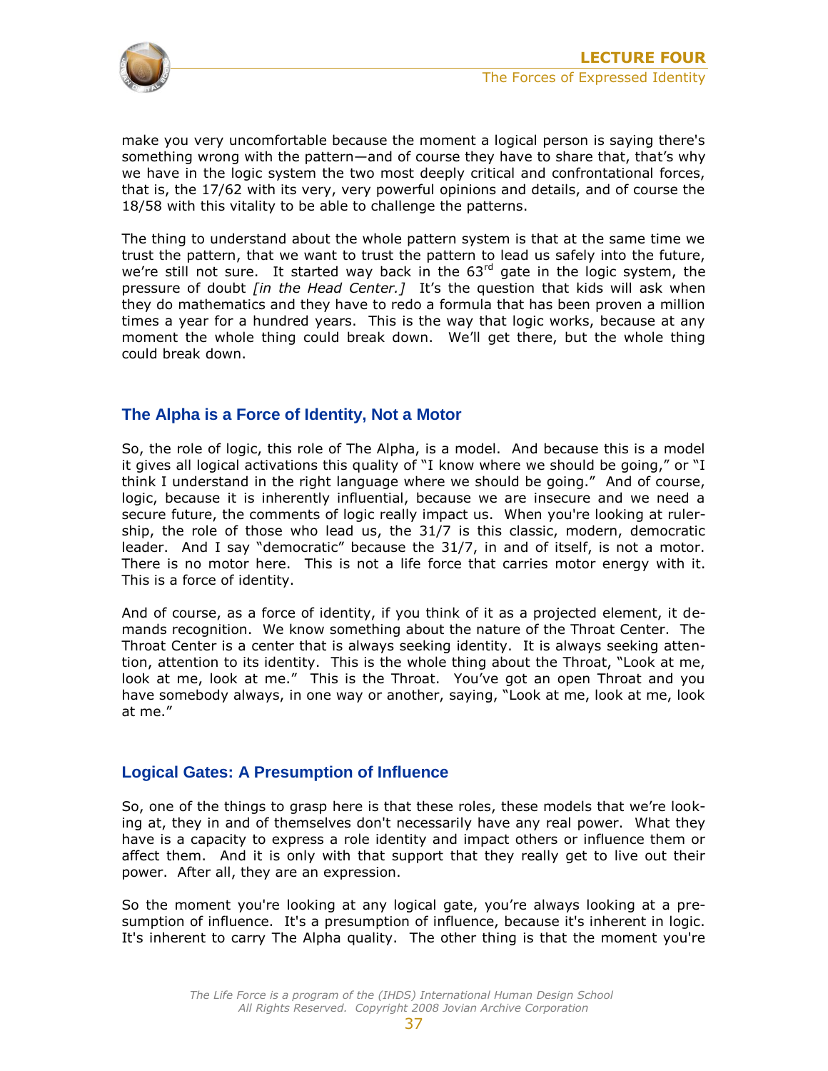

make you very uncomfortable because the moment a logical person is saying there's something wrong with the pattern—and of course they have to share that, that's why we have in the logic system the two most deeply critical and confrontational forces, that is, the 17/62 with its very, very powerful opinions and details, and of course the 18/58 with this vitality to be able to challenge the patterns.

The thing to understand about the whole pattern system is that at the same time we trust the pattern, that we want to trust the pattern to lead us safely into the future, we're still not sure. It started way back in the  $63<sup>rd</sup>$  gate in the logic system, the pressure of doubt *[in the Head Center.]* It's the question that kids will ask when they do mathematics and they have to redo a formula that has been proven a million times a year for a hundred years. This is the way that logic works, because at any moment the whole thing could break down. We'll get there, but the whole thing could break down.

#### <span id="page-10-0"></span>**The Alpha is a Force of Identity, Not a Motor**

So, the role of logic, this role of The Alpha, is a model. And because this is a model it gives all logical activations this quality of "I know where we should be going," or "I think I understand in the right language where we should be going." And of course, logic, because it is inherently influential, because we are insecure and we need a secure future, the comments of logic really impact us. When you're looking at rulership, the role of those who lead us, the 31/7 is this classic, modern, democratic leader. And I say "democratic" because the 31/7, in and of itself, is not a motor. There is no motor here. This is not a life force that carries motor energy with it. This is a force of identity.

And of course, as a force of identity, if you think of it as a projected element, it demands recognition. We know something about the nature of the Throat Center. The Throat Center is a center that is always seeking identity. It is always seeking attention, attention to its identity. This is the whole thing about the Throat, "Look at me, look at me, look at me." This is the Throat. You've got an open Throat and you have somebody always, in one way or another, saying, "Look at me, look at me, look at me."

#### <span id="page-10-1"></span>**Logical Gates: A Presumption of Influence**

So, one of the things to grasp here is that these roles, these models that we're looking at, they in and of themselves don't necessarily have any real power. What they have is a capacity to express a role identity and impact others or influence them or affect them. And it is only with that support that they really get to live out their power. After all, they are an expression.

So the moment you're looking at any logical gate, you're always looking at a presumption of influence. It's a presumption of influence, because it's inherent in logic. It's inherent to carry The Alpha quality. The other thing is that the moment you're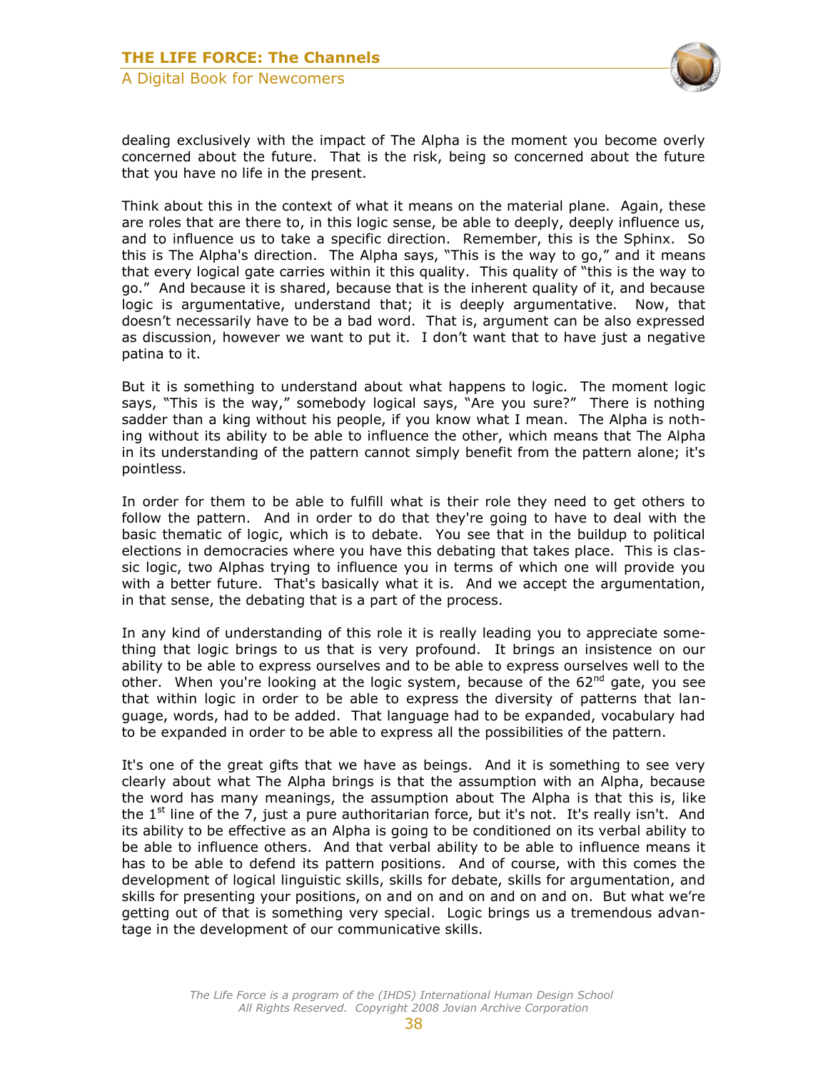

dealing exclusively with the impact of The Alpha is the moment you become overly concerned about the future. That is the risk, being so concerned about the future that you have no life in the present.

Think about this in the context of what it means on the material plane. Again, these are roles that are there to, in this logic sense, be able to deeply, deeply influence us, and to influence us to take a specific direction. Remember, this is the Sphinx. So this is The Alpha's direction. The Alpha says, "This is the way to go," and it means that every logical gate carries within it this quality. This quality of "this is the way to go." And because it is shared, because that is the inherent quality of it, and because logic is argumentative, understand that; it is deeply argumentative. Now, that doesn't necessarily have to be a bad word. That is, argument can be also expressed as discussion, however we want to put it. I don't want that to have just a negative patina to it.

But it is something to understand about what happens to logic. The moment logic says, "This is the way," somebody logical says, "Are you sure?" There is nothing sadder than a king without his people, if you know what I mean. The Alpha is nothing without its ability to be able to influence the other, which means that The Alpha in its understanding of the pattern cannot simply benefit from the pattern alone; it's pointless.

In order for them to be able to fulfill what is their role they need to get others to follow the pattern. And in order to do that they're going to have to deal with the basic thematic of logic, which is to debate. You see that in the buildup to political elections in democracies where you have this debating that takes place. This is classic logic, two Alphas trying to influence you in terms of which one will provide you with a better future. That's basically what it is. And we accept the argumentation, in that sense, the debating that is a part of the process.

In any kind of understanding of this role it is really leading you to appreciate something that logic brings to us that is very profound. It brings an insistence on our ability to be able to express ourselves and to be able to express ourselves well to the other. When you're looking at the logic system, because of the  $62<sup>nd</sup>$  gate, you see that within logic in order to be able to express the diversity of patterns that language, words, had to be added. That language had to be expanded, vocabulary had to be expanded in order to be able to express all the possibilities of the pattern.

It's one of the great gifts that we have as beings. And it is something to see very clearly about what The Alpha brings is that the assumption with an Alpha, because the word has many meanings, the assumption about The Alpha is that this is, like the  $1^{st}$  line of the 7, just a pure authoritarian force, but it's not. It's really isn't. And its ability to be effective as an Alpha is going to be conditioned on its verbal ability to be able to influence others. And that verbal ability to be able to influence means it has to be able to defend its pattern positions. And of course, with this comes the development of logical linguistic skills, skills for debate, skills for argumentation, and skills for presenting your positions, on and on and on and on and on. But what we're getting out of that is something very special. Logic brings us a tremendous advantage in the development of our communicative skills.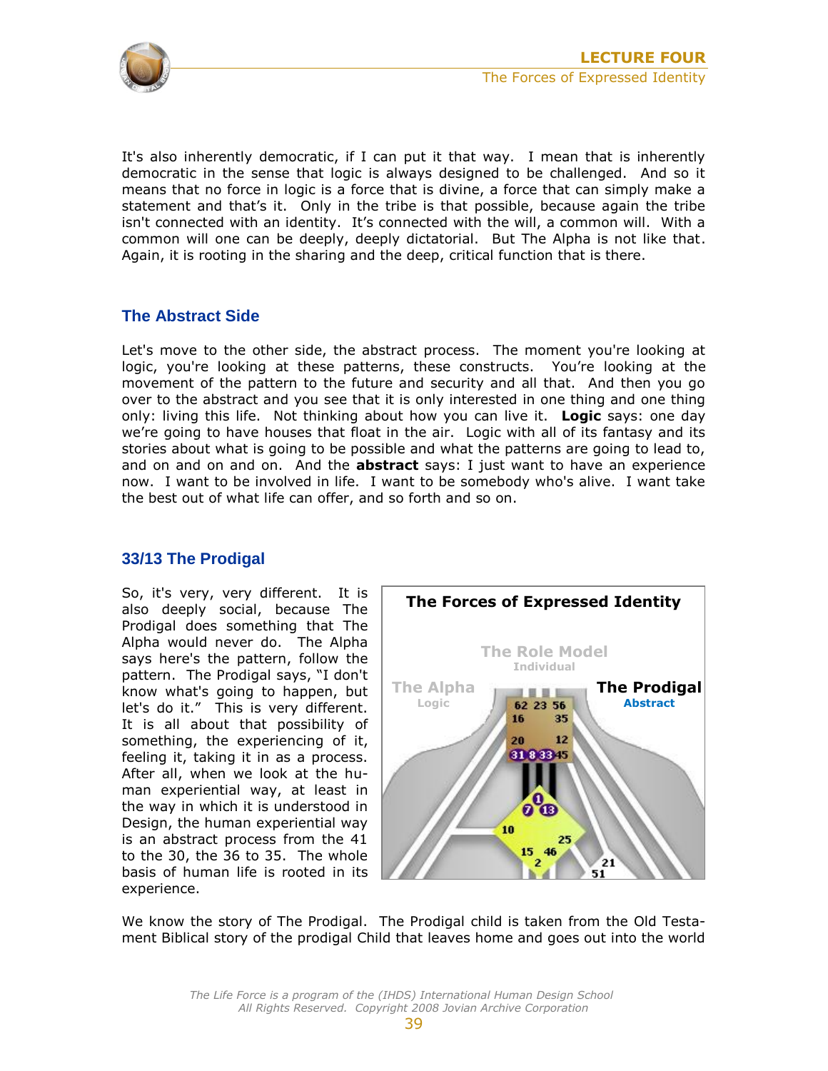

It's also inherently democratic, if I can put it that way. I mean that is inherently democratic in the sense that logic is always designed to be challenged. And so it means that no force in logic is a force that is divine, a force that can simply make a statement and that's it. Only in the tribe is that possible, because again the tribe isn't connected with an identity. It's connected with the will, a common will. With a common will one can be deeply, deeply dictatorial. But The Alpha is not like that. Again, it is rooting in the sharing and the deep, critical function that is there.

#### <span id="page-12-0"></span>**The Abstract Side**

Let's move to the other side, the abstract process. The moment you're looking at logic, you're looking at these patterns, these constructs. You're looking at the movement of the pattern to the future and security and all that. And then you go over to the abstract and you see that it is only interested in one thing and one thing only: living this life. Not thinking about how you can live it. **Logic** says: one day we're going to have houses that float in the air. Logic with all of its fantasy and its stories about what is going to be possible and what the patterns are going to lead to, and on and on and on. And the **abstract** says: I just want to have an experience now. I want to be involved in life. I want to be somebody who's alive. I want take the best out of what life can offer, and so forth and so on.

#### <span id="page-12-1"></span>**33/13 The Prodigal**

So, it's very, very different. It is also deeply social, because The Prodigal does something that The Alpha would never do. The Alpha says here's the pattern, follow the pattern. The Prodigal says, "I don't know what's going to happen, but let's do it." This is very different. It is all about that possibility of something, the experiencing of it, feeling it, taking it in as a process. After all, when we look at the human experiential way, at least in the way in which it is understood in Design, the human experiential way is an abstract process from the 41 to the 30, the 36 to 35. The whole basis of human life is rooted in its experience.



We know the story of The Prodigal. The Prodigal child is taken from the Old Testament Biblical story of the prodigal Child that leaves home and goes out into the world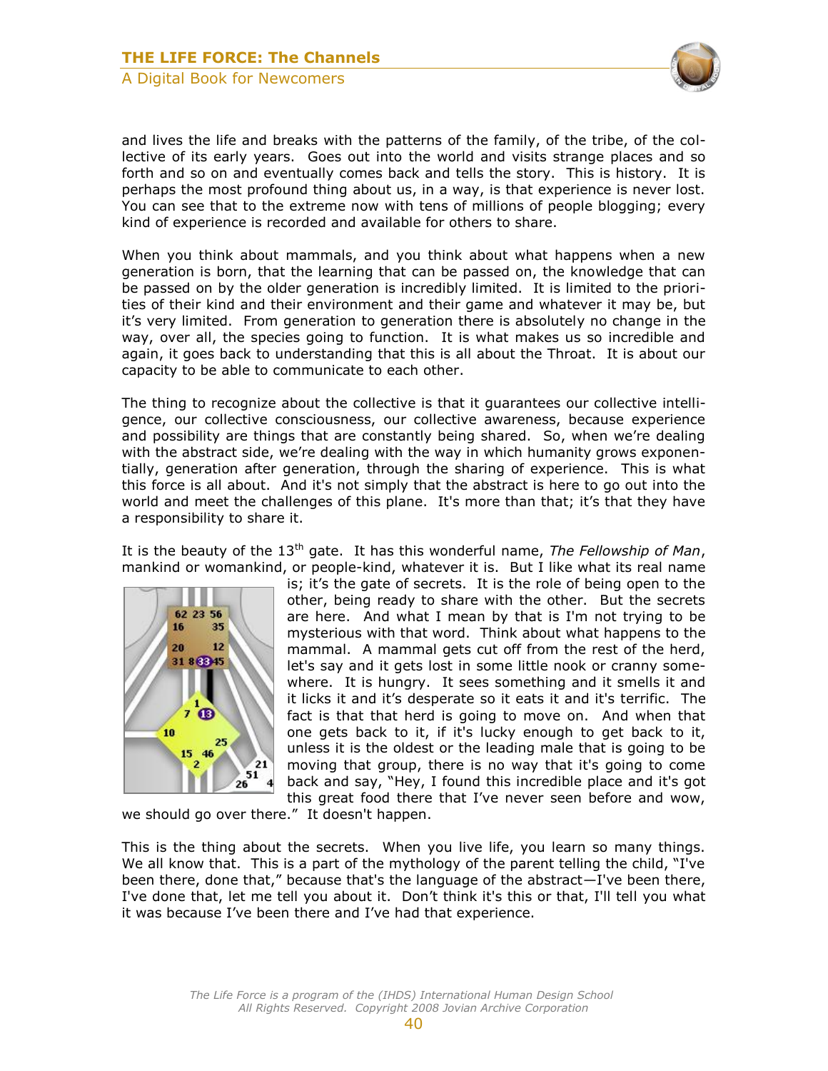

and lives the life and breaks with the patterns of the family, of the tribe, of the collective of its early years. Goes out into the world and visits strange places and so forth and so on and eventually comes back and tells the story. This is history. It is perhaps the most profound thing about us, in a way, is that experience is never lost. You can see that to the extreme now with tens of millions of people blogging; every kind of experience is recorded and available for others to share.

When you think about mammals, and you think about what happens when a new generation is born, that the learning that can be passed on, the knowledge that can be passed on by the older generation is incredibly limited. It is limited to the priorities of their kind and their environment and their game and whatever it may be, but it's very limited. From generation to generation there is absolutely no change in the way, over all, the species going to function. It is what makes us so incredible and again, it goes back to understanding that this is all about the Throat. It is about our capacity to be able to communicate to each other.

The thing to recognize about the collective is that it guarantees our collective intelligence, our collective consciousness, our collective awareness, because experience and possibility are things that are constantly being shared. So, when we're dealing with the abstract side, we're dealing with the way in which humanity grows exponentially, generation after generation, through the sharing of experience. This is what this force is all about. And it's not simply that the abstract is here to go out into the world and meet the challenges of this plane. It's more than that; it's that they have a responsibility to share it.

It is the beauty of the 13<sup>th</sup> gate. It has this wonderful name, *The Fellowship of Man*, mankind or womankind, or people-kind, whatever it is. But I like what its real name



is; it's the gate of secrets. It is the role of being open to the other, being ready to share with the other. But the secrets are here. And what I mean by that is I'm not trying to be mysterious with that word. Think about what happens to the mammal. A mammal gets cut off from the rest of the herd, let's say and it gets lost in some little nook or cranny somewhere. It is hungry. It sees something and it smells it and it licks it and it's desperate so it eats it and it's terrific. The fact is that that herd is going to move on. And when that one gets back to it, if it's lucky enough to get back to it, unless it is the oldest or the leading male that is going to be moving that group, there is no way that it's going to come back and say, "Hey, I found this incredible place and it's got this great food there that I've never seen before and wow,

we should go over there." It doesn't happen.

This is the thing about the secrets. When you live life, you learn so many things. We all know that. This is a part of the mythology of the parent telling the child, "I've been there, done that," because that's the language of the abstract—I've been there, I've done that, let me tell you about it. Don't think it's this or that, I'll tell you what it was because I've been there and I've had that experience.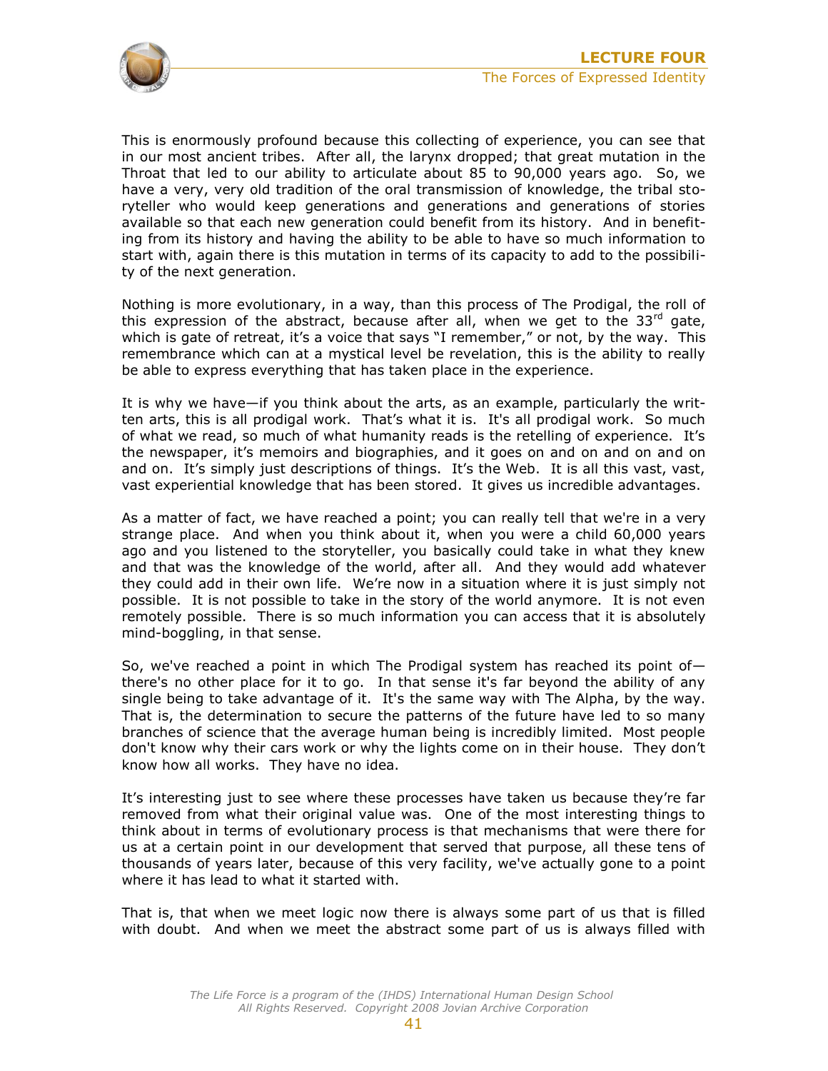

This is enormously profound because this collecting of experience, you can see that in our most ancient tribes. After all, the larynx dropped; that great mutation in the Throat that led to our ability to articulate about 85 to 90,000 years ago. So, we have a very, very old tradition of the oral transmission of knowledge, the tribal storyteller who would keep generations and generations and generations of stories available so that each new generation could benefit from its history. And in benefiting from its history and having the ability to be able to have so much information to start with, again there is this mutation in terms of its capacity to add to the possibility of the next generation.

Nothing is more evolutionary, in a way, than this process of The Prodigal, the roll of this expression of the abstract, because after all, when we get to the  $33<sup>rd</sup>$  gate. which is gate of retreat, it's a voice that says "I remember," or not, by the way. This remembrance which can at a mystical level be revelation, this is the ability to really be able to express everything that has taken place in the experience.

It is why we have—if you think about the arts, as an example, particularly the written arts, this is all prodigal work. That's what it is. It's all prodigal work. So much of what we read, so much of what humanity reads is the retelling of experience. It's the newspaper, it's memoirs and biographies, and it goes on and on and on and on and on. It's simply just descriptions of things. It's the Web. It is all this vast, vast, vast experiential knowledge that has been stored. It gives us incredible advantages.

As a matter of fact, we have reached a point; you can really tell that we're in a very strange place. And when you think about it, when you were a child 60,000 years ago and you listened to the storyteller, you basically could take in what they knew and that was the knowledge of the world, after all. And they would add whatever they could add in their own life. We're now in a situation where it is just simply not possible. It is not possible to take in the story of the world anymore. It is not even remotely possible. There is so much information you can access that it is absolutely mind-boggling, in that sense.

So, we've reached a point in which The Prodigal system has reached its point of  $$ there's no other place for it to go. In that sense it's far beyond the ability of any single being to take advantage of it. It's the same way with The Alpha, by the way. That is, the determination to secure the patterns of the future have led to so many branches of science that the average human being is incredibly limited. Most people don't know why their cars work or why the lights come on in their house. They don't know how all works. They have no idea.

It's interesting just to see where these processes have taken us because they're far removed from what their original value was. One of the most interesting things to think about in terms of evolutionary process is that mechanisms that were there for us at a certain point in our development that served that purpose, all these tens of thousands of years later, because of this very facility, we've actually gone to a point where it has lead to what it started with.

That is, that when we meet logic now there is always some part of us that is filled with doubt. And when we meet the abstract some part of us is always filled with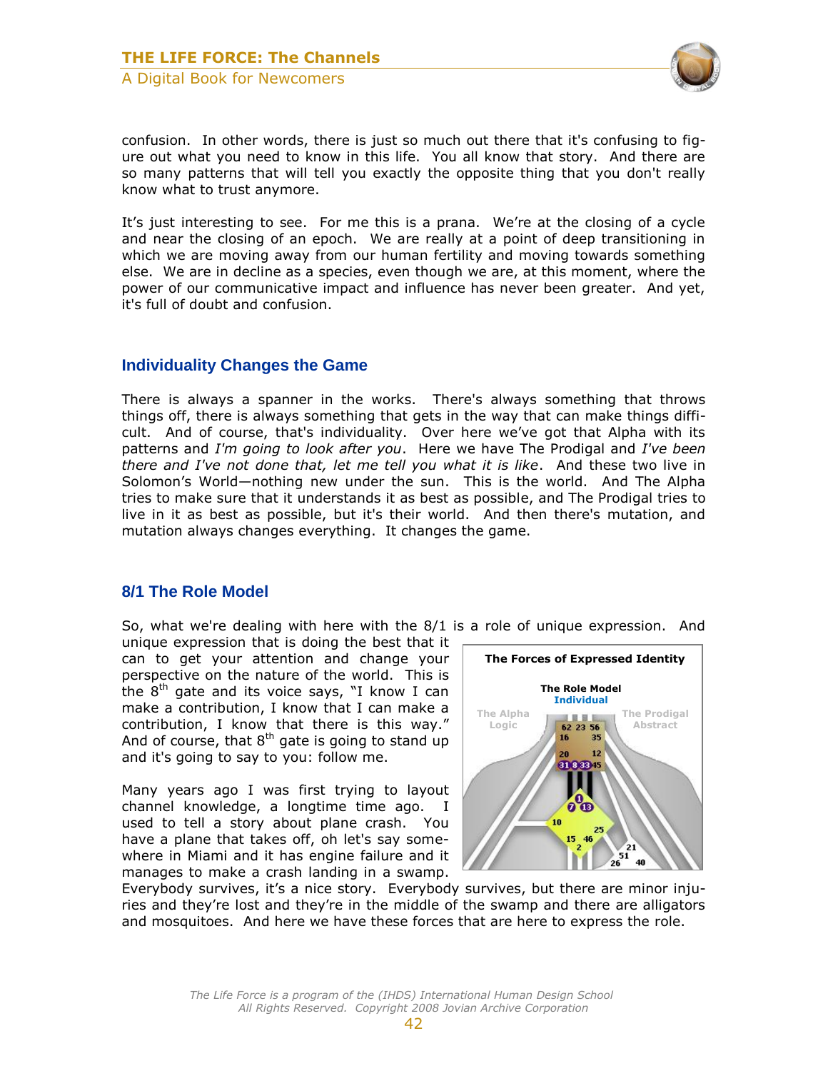

confusion. In other words, there is just so much out there that it's confusing to figure out what you need to know in this life. You all know that story. And there are so many patterns that will tell you exactly the opposite thing that you don't really know what to trust anymore.

It's just interesting to see. For me this is a prana. We're at the closing of a cycle and near the closing of an epoch. We are really at a point of deep transitioning in which we are moving away from our human fertility and moving towards something else. We are in decline as a species, even though we are, at this moment, where the power of our communicative impact and influence has never been greater. And yet, it's full of doubt and confusion.

#### <span id="page-15-0"></span>**Individuality Changes the Game**

There is always a spanner in the works. There's always something that throws things off, there is always something that gets in the way that can make things difficult. And of course, that's individuality. Over here we've got that Alpha with its patterns and *I'm going to look after you*. Here we have The Prodigal and *I've been there and I've not done that, let me tell you what it is like*. And these two live in Solomon's World—nothing new under the sun. This is the world. And The Alpha tries to make sure that it understands it as best as possible, and The Prodigal tries to live in it as best as possible, but it's their world. And then there's mutation, and mutation always changes everything. It changes the game.

#### <span id="page-15-1"></span>**8/1 The Role Model**

So, what we're dealing with here with the 8/1 is a role of unique expression. And

unique expression that is doing the best that it can to get your attention and change your perspective on the nature of the world. This is the  $8<sup>th</sup>$  gate and its voice says, "I know I can make a contribution, I know that I can make a contribution, I know that there is this way." And of course, that  $8<sup>th</sup>$  gate is going to stand up and it's going to say to you: follow me.

Many years ago I was first trying to layout channel knowledge, a longtime time ago. I used to tell a story about plane crash. You have a plane that takes off, oh let's say somewhere in Miami and it has engine failure and it manages to make a crash landing in a swamp.



Everybody survives, it's a nice story. Everybody survives, but there are minor injuries and they're lost and they're in the middle of the swamp and there are alligators and mosquitoes. And here we have these forces that are here to express the role.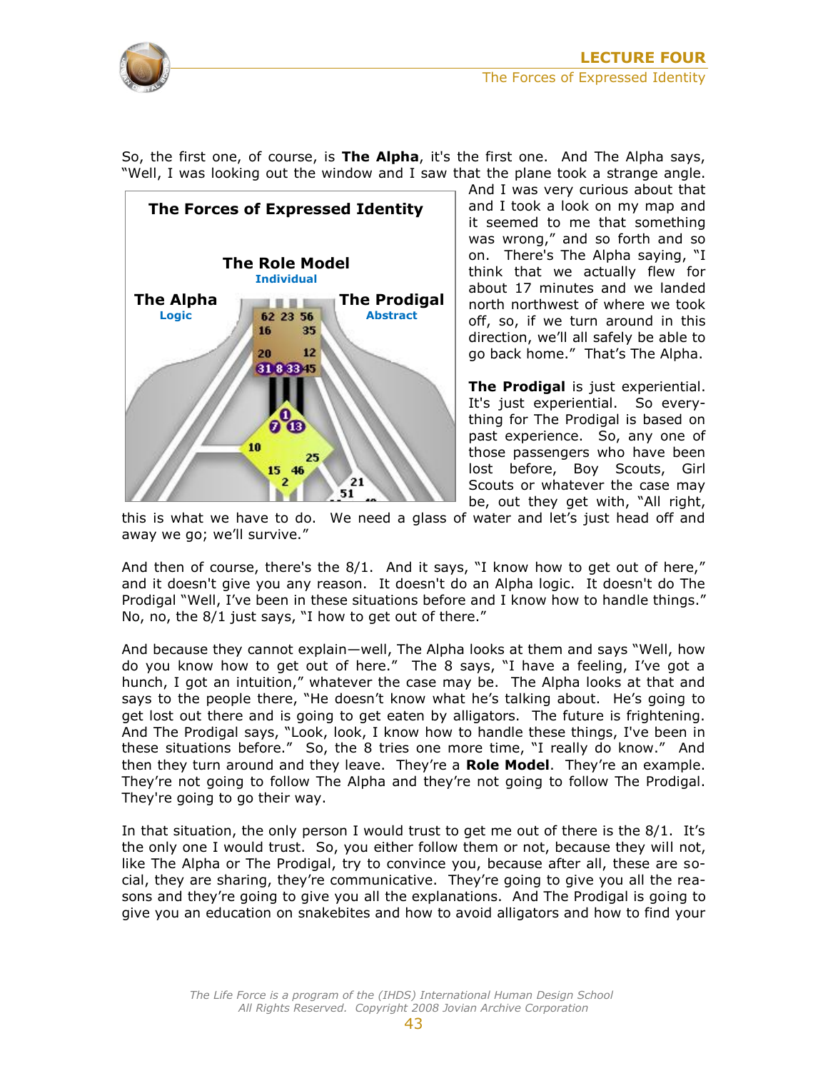

So, the first one, of course, is **The Alpha**, it's the first one. And The Alpha says, "Well, I was looking out the window and I saw that the plane took a strange angle.



And I was very curious about that and I took a look on my map and it seemed to me that something was wrong," and so forth and so on. There's The Alpha saying, "I think that we actually flew for about 17 minutes and we landed north northwest of where we took off, so, if we turn around in this direction, we'll all safely be able to go back home." That's The Alpha.

**The Prodigal** is just experiential. It's just experiential. So everything for The Prodigal is based on past experience. So, any one of those passengers who have been lost before, Boy Scouts, Girl Scouts or whatever the case may be, out they get with, "All right,

this is what we have to do. We need a glass of water and let's just head off and away we go; we'll survive."

And then of course, there's the 8/1. And it says, "I know how to get out of here," and it doesn't give you any reason. It doesn't do an Alpha logic. It doesn't do The Prodigal "Well, I've been in these situations before and I know how to handle things." No, no, the 8/1 just says, "I how to get out of there."

And because they cannot explain—well, The Alpha looks at them and says "Well, how do you know how to get out of here." The 8 says, "I have a feeling, I've got a hunch, I got an intuition," whatever the case may be. The Alpha looks at that and says to the people there, "He doesn't know what he's talking about. He's going to get lost out there and is going to get eaten by alligators. The future is frightening. And The Prodigal says, "Look, look, I know how to handle these things, I've been in these situations before." So, the 8 tries one more time, "I really do know." And then they turn around and they leave. They're a **Role Model**. They're an example. They're not going to follow The Alpha and they're not going to follow The Prodigal. They're going to go their way.

In that situation, the only person I would trust to get me out of there is the 8/1. It's the only one I would trust. So, you either follow them or not, because they will not, like The Alpha or The Prodigal, try to convince you, because after all, these are social, they are sharing, they're communicative. They're going to give you all the reasons and they're going to give you all the explanations. And The Prodigal is going to give you an education on snakebites and how to avoid alligators and how to find your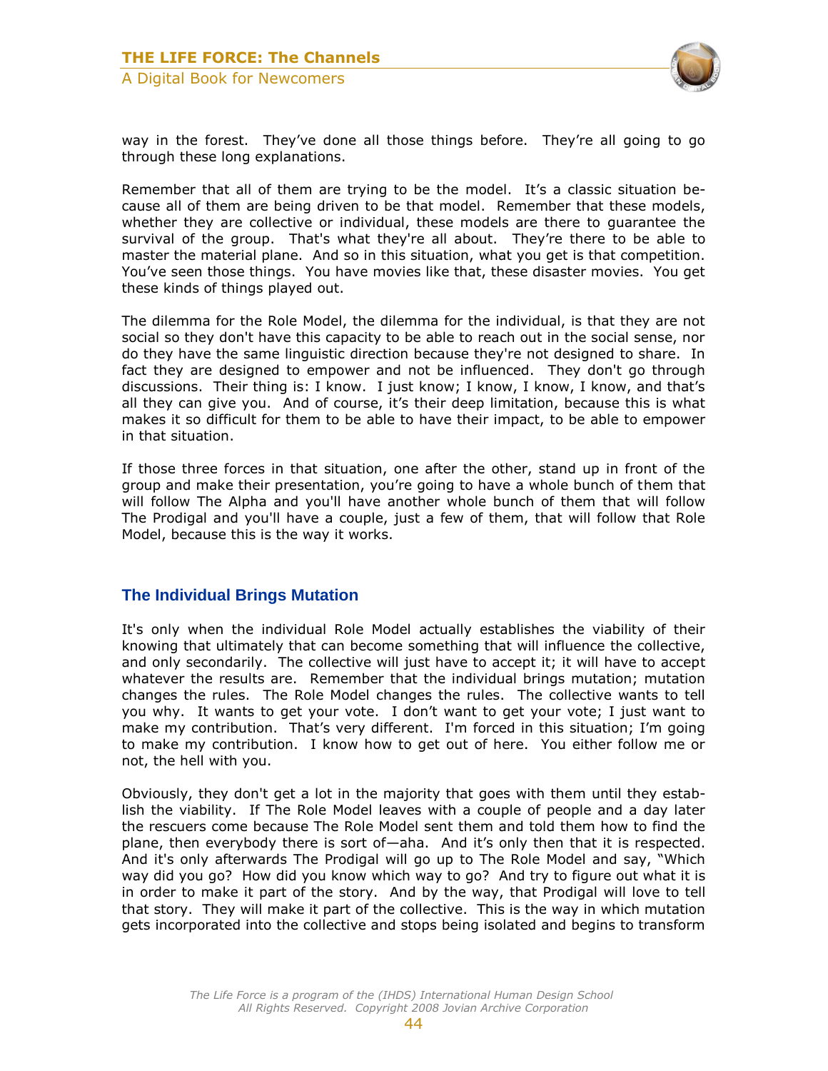

way in the forest. They've done all those things before. They're all going to go through these long explanations.

Remember that all of them are trying to be the model. It's a classic situation because all of them are being driven to be that model. Remember that these models, whether they are collective or individual, these models are there to guarantee the survival of the group. That's what they're all about. They're there to be able to master the material plane. And so in this situation, what you get is that competition. You've seen those things. You have movies like that, these disaster movies. You get these kinds of things played out.

The dilemma for the Role Model, the dilemma for the individual, is that they are not social so they don't have this capacity to be able to reach out in the social sense, nor do they have the same linguistic direction because they're not designed to share. In fact they are designed to empower and not be influenced. They don't go through discussions. Their thing is: I know. I just know; I know, I know, I know, and that's all they can give you. And of course, it's their deep limitation, because this is what makes it so difficult for them to be able to have their impact, to be able to empower in that situation.

If those three forces in that situation, one after the other, stand up in front of the group and make their presentation, you're going to have a whole bunch of them that will follow The Alpha and you'll have another whole bunch of them that will follow The Prodigal and you'll have a couple, just a few of them, that will follow that Role Model, because this is the way it works.

#### <span id="page-17-0"></span>**The Individual Brings Mutation**

It's only when the individual Role Model actually establishes the viability of their knowing that ultimately that can become something that will influence the collective, and only secondarily. The collective will just have to accept it; it will have to accept whatever the results are. Remember that the individual brings mutation; mutation changes the rules. The Role Model changes the rules. The collective wants to tell you why. It wants to get your vote. I don't want to get your vote; I just want to make my contribution. That's very different. I'm forced in this situation; I'm going to make my contribution. I know how to get out of here. You either follow me or not, the hell with you.

Obviously, they don't get a lot in the majority that goes with them until they establish the viability. If The Role Model leaves with a couple of people and a day later the rescuers come because The Role Model sent them and told them how to find the plane, then everybody there is sort of—aha. And it's only then that it is respected. And it's only afterwards The Prodigal will go up to The Role Model and say, "Which way did you go? How did you know which way to go? And try to figure out what it is in order to make it part of the story. And by the way, that Prodigal will love to tell that story. They will make it part of the collective. This is the way in which mutation gets incorporated into the collective and stops being isolated and begins to transform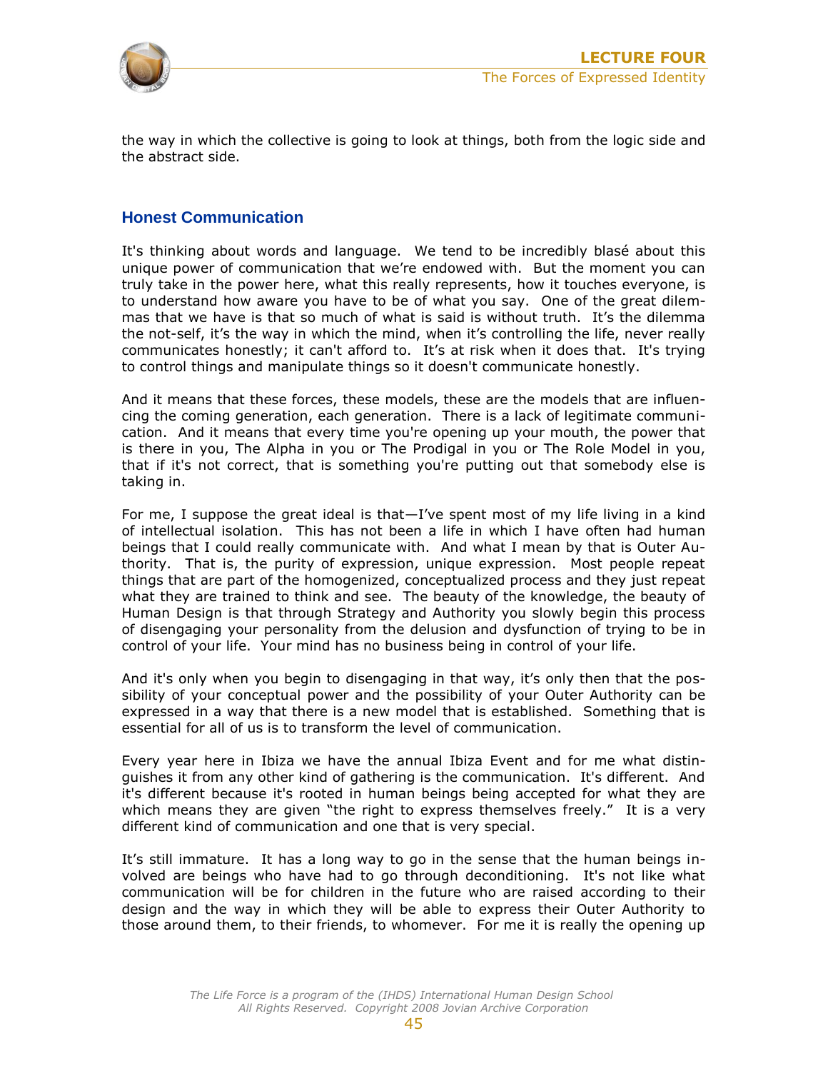

the way in which the collective is going to look at things, both from the logic side and the abstract side.

#### **Honest Communication**

It's thinking about words and language. We tend to be incredibly blasé about this unique power of communication that we're endowed with. But the moment you can truly take in the power here, what this really represents, how it touches everyone, is to understand how aware you have to be of what you say. One of the great dilemmas that we have is that so much of what is said is without truth. It's the dilemma the not-self, it's the way in which the mind, when it's controlling the life, never really communicates honestly; it can't afford to. It's at risk when it does that. It's trying to control things and manipulate things so it doesn't communicate honestly.

And it means that these forces, these models, these are the models that are influencing the coming generation, each generation. There is a lack of legitimate communication. And it means that every time you're opening up your mouth, the power that is there in you, The Alpha in you or The Prodigal in you or The Role Model in you, that if it's not correct, that is something you're putting out that somebody else is taking in.

For me, I suppose the great ideal is that—I've spent most of my life living in a kind of intellectual isolation. This has not been a life in which I have often had human beings that I could really communicate with. And what I mean by that is Outer Authority. That is, the purity of expression, unique expression. Most people repeat things that are part of the homogenized, conceptualized process and they just repeat what they are trained to think and see. The beauty of the knowledge, the beauty of Human Design is that through Strategy and Authority you slowly begin this process of disengaging your personality from the delusion and dysfunction of trying to be in control of your life. Your mind has no business being in control of your life.

And it's only when you begin to disengaging in that way, it's only then that the possibility of your conceptual power and the possibility of your Outer Authority can be expressed in a way that there is a new model that is established. Something that is essential for all of us is to transform the level of communication.

Every year here in Ibiza we have the annual Ibiza Event and for me what distinguishes it from any other kind of gathering is the communication. It's different. And it's different because it's rooted in human beings being accepted for what they are which means they are given "the right to express themselves freely." It is a very different kind of communication and one that is very special.

It's still immature. It has a long way to go in the sense that the human beings involved are beings who have had to go through deconditioning. It's not like what communication will be for children in the future who are raised according to their design and the way in which they will be able to express their Outer Authority to those around them, to their friends, to whomever. For me it is really the opening up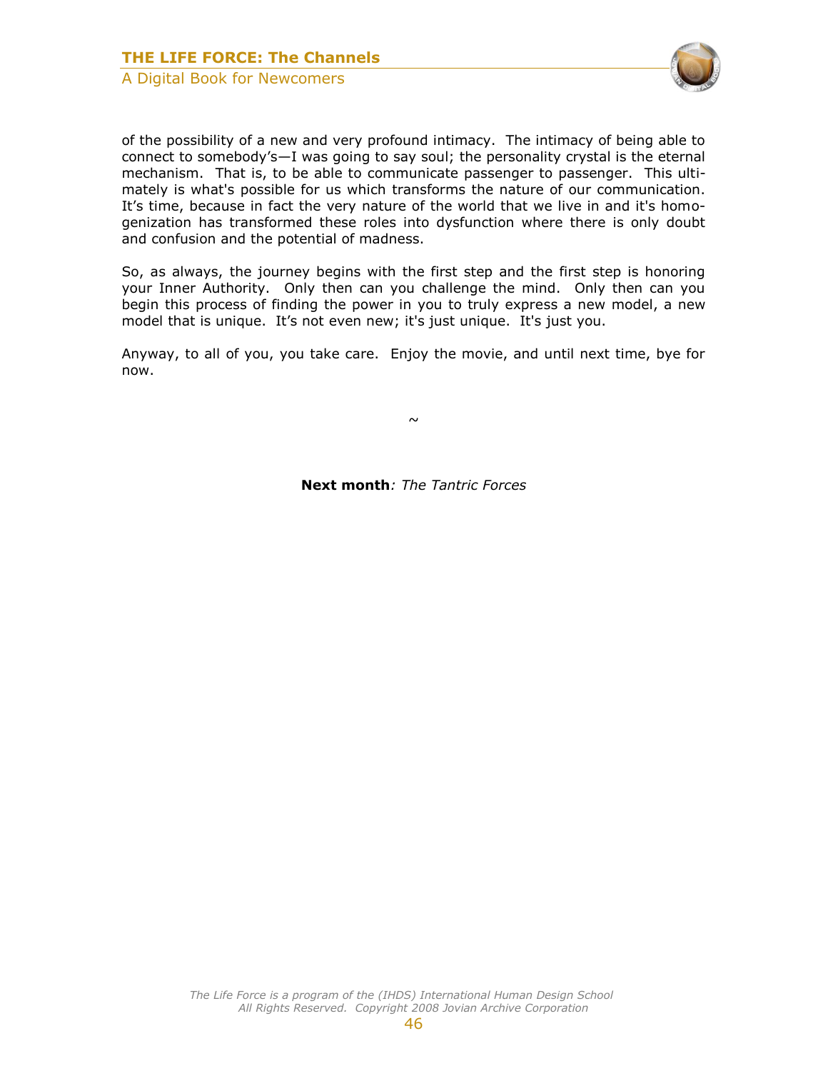

of the possibility of a new and very profound intimacy. The intimacy of being able to connect to somebody's—I was going to say soul; the personality crystal is the eternal mechanism. That is, to be able to communicate passenger to passenger. This ultimately is what's possible for us which transforms the nature of our communication. It's time, because in fact the very nature of the world that we live in and it's homogenization has transformed these roles into dysfunction where there is only doubt and confusion and the potential of madness.

So, as always, the journey begins with the first step and the first step is honoring your Inner Authority. Only then can you challenge the mind. Only then can you begin this process of finding the power in you to truly express a new model, a new model that is unique. It's not even new; it's just unique. It's just you.

Anyway, to all of you, you take care. Enjoy the movie, and until next time, bye for now.

 $\sim$ 

**Next month***: The Tantric Forces*